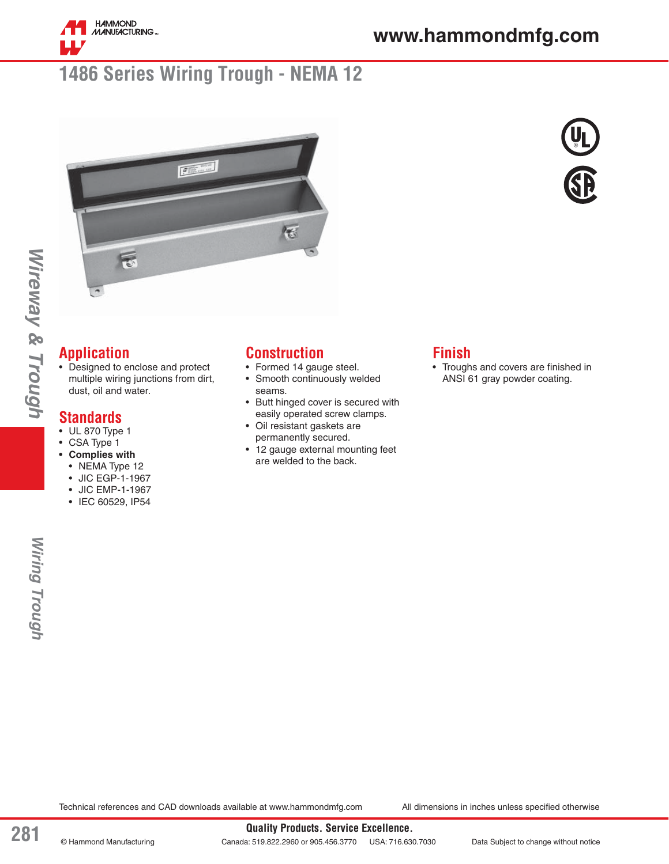

## **1486 Series Wiring Trough - NEMA 12**





## **Application**

*Wireway & Trough*

Wireway & Trough

• Designed to enclose and protect multiple wiring junctions from dirt, dust, oil and water.

#### **Standards**

- UL 870 Type 1
- CSA Type 1
- **Complies with** 
	- NEMA Type 12
	- JIC EGP-1-1967
	- JIC EMP-1-1967
	- IEC 60529, IP54

#### **Construction**

- Formed 14 gauge steel.
- Smooth continuously welded seams.
- Butt hinged cover is secured with easily operated screw clamps.
- Oil resistant gaskets are permanently secured.
- 12 gauge external mounting feet are welded to the back.

### **Finish**

• Troughs and covers are finished in ANSI 61 gray powder coating.